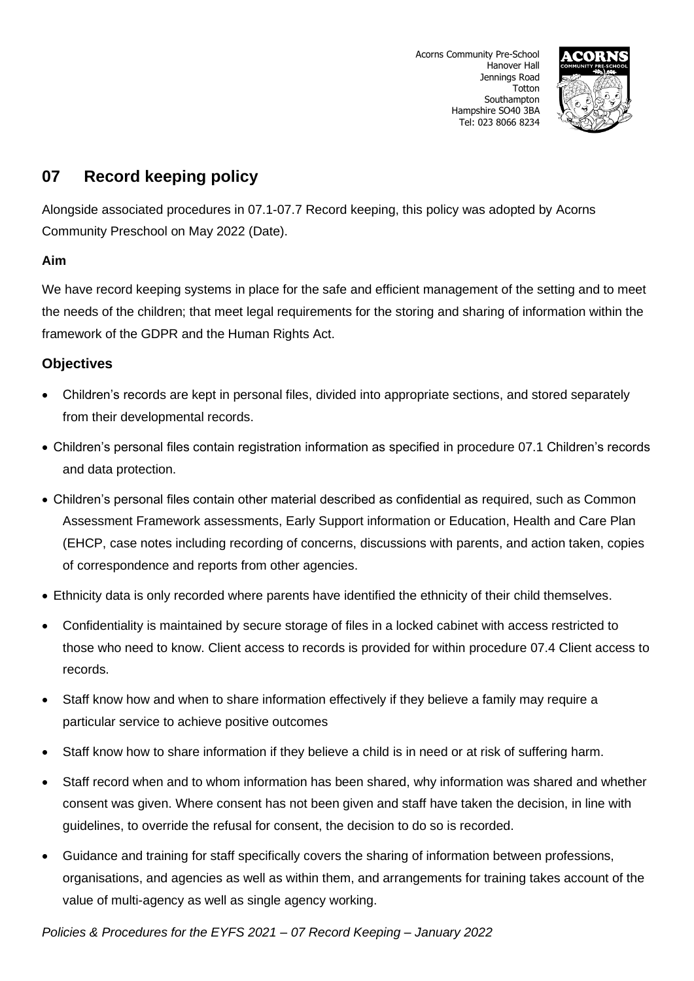

# **07 Record keeping policy**

Alongside associated procedures in 07.1-07.7 Record keeping, this policy was adopted by Acorns Community Preschool on May 2022 (Date).

## **Aim**

We have record keeping systems in place for the safe and efficient management of the setting and to meet the needs of the children; that meet legal requirements for the storing and sharing of information within the framework of the GDPR and the Human Rights Act.

## **Objectives**

- Children's records are kept in personal files, divided into appropriate sections, and stored separately from their developmental records.
- Children's personal files contain registration information as specified in procedure 07.1 Children's records and data protection.
- Children's personal files contain other material described as confidential as required, such as Common Assessment Framework assessments, Early Support information or Education, Health and Care Plan (EHCP, case notes including recording of concerns, discussions with parents, and action taken, copies of correspondence and reports from other agencies.
- Ethnicity data is only recorded where parents have identified the ethnicity of their child themselves.
- Confidentiality is maintained by secure storage of files in a locked cabinet with access restricted to those who need to know. Client access to records is provided for within procedure 07.4 Client access to records.
- Staff know how and when to share information effectively if they believe a family may require a particular service to achieve positive outcomes
- Staff know how to share information if they believe a child is in need or at risk of suffering harm.
- Staff record when and to whom information has been shared, why information was shared and whether consent was given. Where consent has not been given and staff have taken the decision, in line with guidelines, to override the refusal for consent, the decision to do so is recorded.
- Guidance and training for staff specifically covers the sharing of information between professions, organisations, and agencies as well as within them, and arrangements for training takes account of the value of multi-agency as well as single agency working.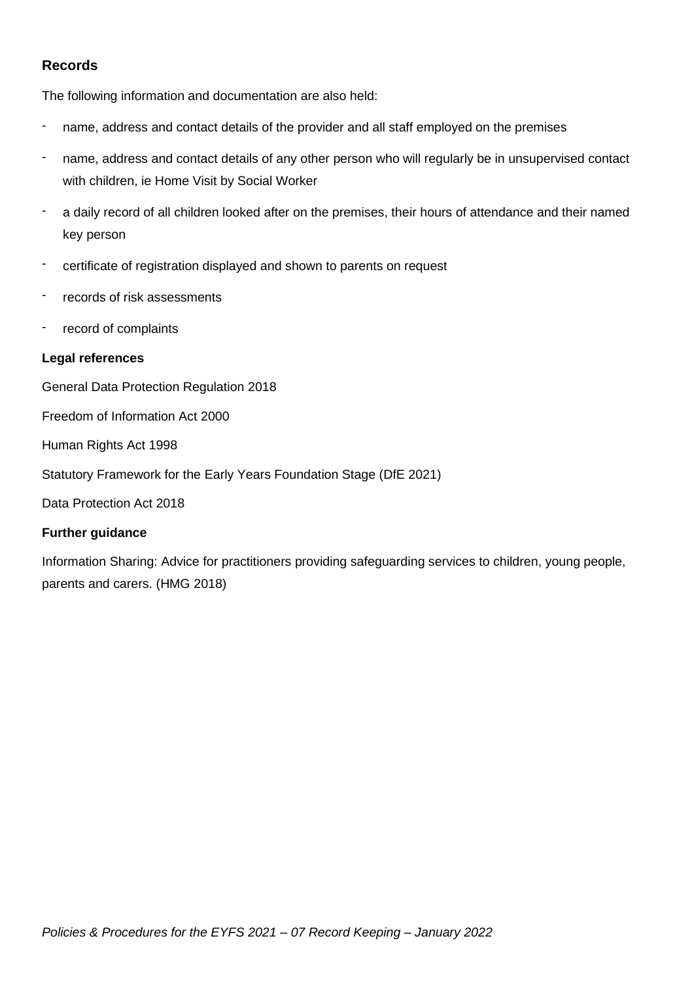## **Records**

The following information and documentation are also held:

- name, address and contact details of the provider and all staff employed on the premises
- name, address and contact details of any other person who will regularly be in unsupervised contact with children, ie Home Visit by Social Worker
- a daily record of all children looked after on the premises, their hours of attendance and their named key person
- certificate of registration displayed and shown to parents on request
- records of risk assessments
- record of complaints

#### **Legal references**

General Data Protection Regulation 2018

Freedom of Information Act 2000

Human Rights Act 1998

Statutory Framework for the Early Years Foundation Stage (DfE 2021)

Data Protection Act 2018

## **Further guidance**

Information Sharing: Advice for practitioners providing safeguarding services to children, young people, parents and carers. (HMG 2018)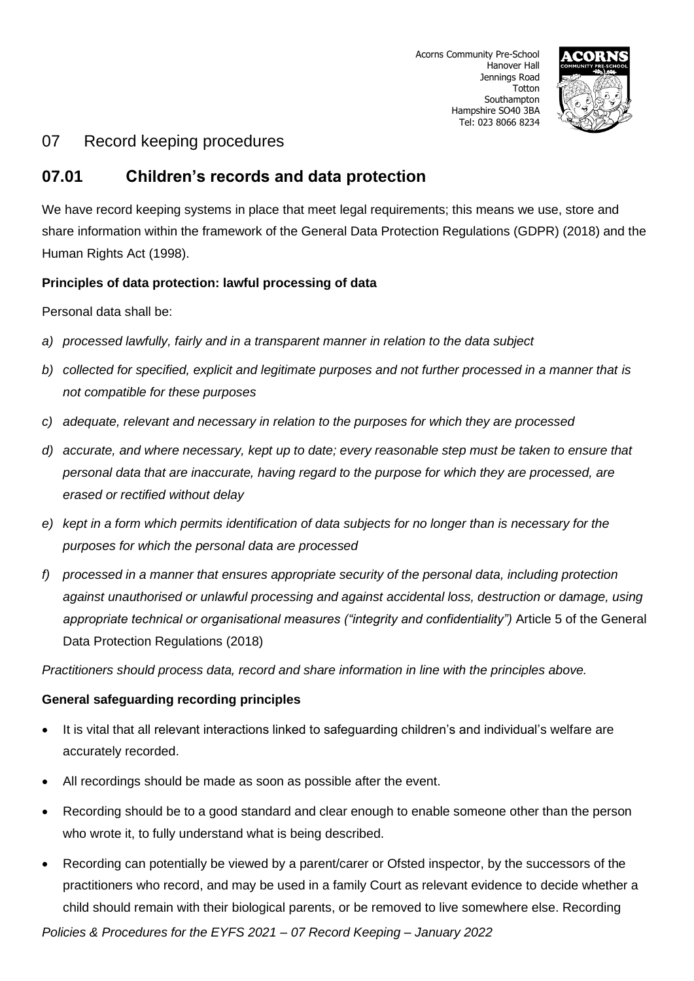

## **07.01 Children's records and data protection**

We have record keeping systems in place that meet legal requirements; this means we use, store and share information within the framework of the General Data Protection Regulations (GDPR) (2018) and the Human Rights Act (1998).

## **Principles of data protection: lawful processing of data**

Personal data shall be:

- *a) processed lawfully, fairly and in a transparent manner in relation to the data subject*
- *b) collected for specified, explicit and legitimate purposes and not further processed in a manner that is not compatible for these purposes*
- *c) adequate, relevant and necessary in relation to the purposes for which they are processed*
- *d) accurate, and where necessary, kept up to date; every reasonable step must be taken to ensure that personal data that are inaccurate, having regard to the purpose for which they are processed, are erased or rectified without delay*
- *e) kept in a form which permits identification of data subjects for no longer than is necessary for the purposes for which the personal data are processed*
- *f) processed in a manner that ensures appropriate security of the personal data, including protection against unauthorised or unlawful processing and against accidental loss, destruction or damage, using appropriate technical or organisational measures ("integrity and confidentiality")* Article 5 of the General Data Protection Regulations (2018)

*Practitioners should process data, record and share information in line with the principles above.*

## **General safeguarding recording principles**

- It is vital that all relevant interactions linked to safeguarding children's and individual's welfare are accurately recorded.
- All recordings should be made as soon as possible after the event.
- Recording should be to a good standard and clear enough to enable someone other than the person who wrote it, to fully understand what is being described.
- Recording can potentially be viewed by a parent/carer or Ofsted inspector, by the successors of the practitioners who record, and may be used in a family Court as relevant evidence to decide whether a child should remain with their biological parents, or be removed to live somewhere else. Recording

*Policies & Procedures for the EYFS 2021 – 07 Record Keeping – January 2022*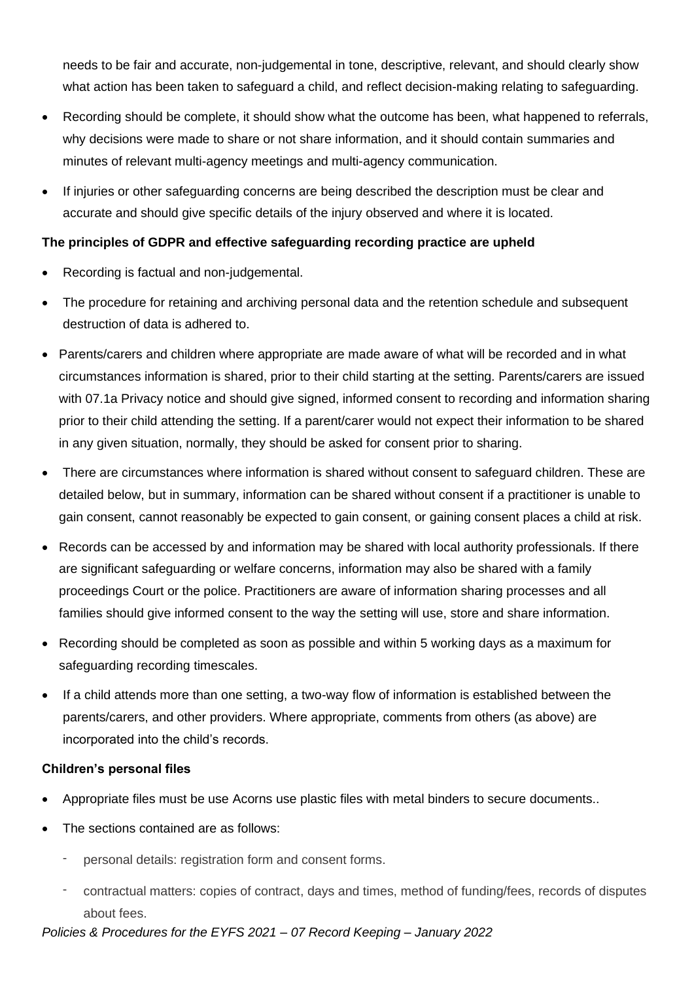needs to be fair and accurate, non-judgemental in tone, descriptive, relevant, and should clearly show what action has been taken to safeguard a child, and reflect decision-making relating to safeguarding.

- Recording should be complete, it should show what the outcome has been, what happened to referrals, why decisions were made to share or not share information, and it should contain summaries and minutes of relevant multi-agency meetings and multi-agency communication.
- If injuries or other safeguarding concerns are being described the description must be clear and accurate and should give specific details of the injury observed and where it is located.

## **The principles of GDPR and effective safeguarding recording practice are upheld**

- Recording is factual and non-judgemental.
- The procedure for retaining and archiving personal data and the retention schedule and subsequent destruction of data is adhered to.
- Parents/carers and children where appropriate are made aware of what will be recorded and in what circumstances information is shared, prior to their child starting at the setting. Parents/carers are issued with 07.1a Privacy notice and should give signed, informed consent to recording and information sharing prior to their child attending the setting. If a parent/carer would not expect their information to be shared in any given situation, normally, they should be asked for consent prior to sharing.
- There are circumstances where information is shared without consent to safeguard children. These are detailed below, but in summary, information can be shared without consent if a practitioner is unable to gain consent, cannot reasonably be expected to gain consent, or gaining consent places a child at risk.
- Records can be accessed by and information may be shared with local authority professionals. If there are significant safeguarding or welfare concerns, information may also be shared with a family proceedings Court or the police. Practitioners are aware of information sharing processes and all families should give informed consent to the way the setting will use, store and share information.
- Recording should be completed as soon as possible and within 5 working days as a maximum for safeguarding recording timescales.
- If a child attends more than one setting, a two-way flow of information is established between the parents/carers, and other providers. Where appropriate, comments from others (as above) are incorporated into the child's records.

## **Children's personal files**

- Appropriate files must be use Acorns use plastic files with metal binders to secure documents..
- The sections contained are as follows:
	- personal details: registration form and consent forms.
	- contractual matters: copies of contract, days and times, method of funding/fees, records of disputes about fees.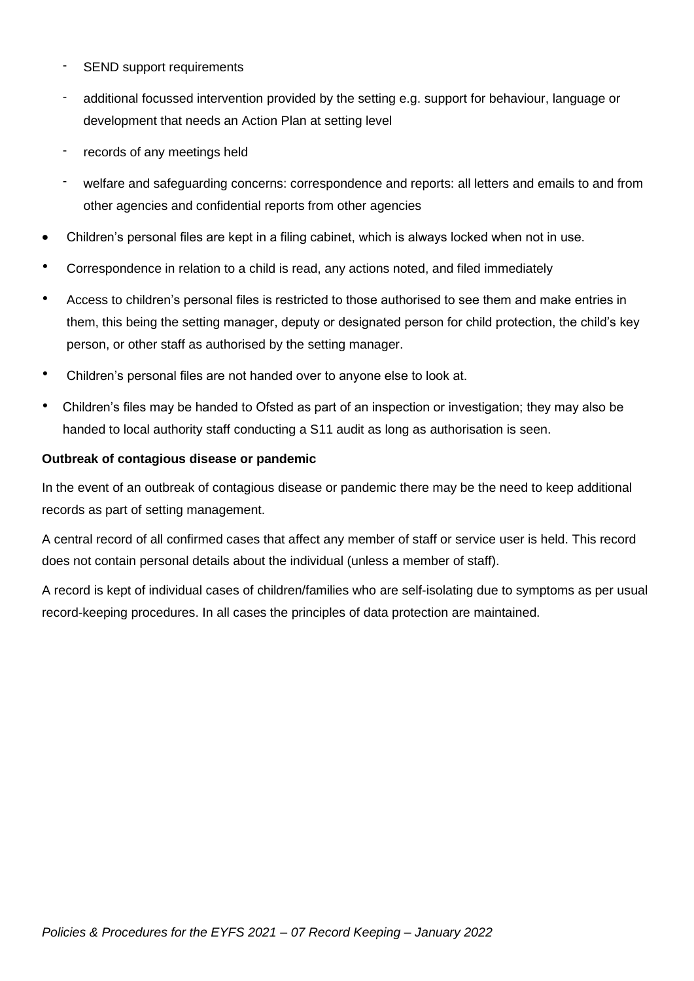- SEND support requirements
- additional focussed intervention provided by the setting e.g. support for behaviour, language or development that needs an Action Plan at setting level
- records of any meetings held
- welfare and safeguarding concerns: correspondence and reports: all letters and emails to and from other agencies and confidential reports from other agencies
- Children's personal files are kept in a filing cabinet, which is always locked when not in use.
- Correspondence in relation to a child is read, any actions noted, and filed immediately
- Access to children's personal files is restricted to those authorised to see them and make entries in them, this being the setting manager, deputy or designated person for child protection, the child's key person, or other staff as authorised by the setting manager.
- Children's personal files are not handed over to anyone else to look at.
- Children's files may be handed to Ofsted as part of an inspection or investigation; they may also be handed to local authority staff conducting a S11 audit as long as authorisation is seen.

#### **Outbreak of contagious disease or pandemic**

In the event of an outbreak of contagious disease or pandemic there may be the need to keep additional records as part of setting management.

A central record of all confirmed cases that affect any member of staff or service user is held. This record does not contain personal details about the individual (unless a member of staff).

A record is kept of individual cases of children/families who are self-isolating due to symptoms as per usual record-keeping procedures. In all cases the principles of data protection are maintained.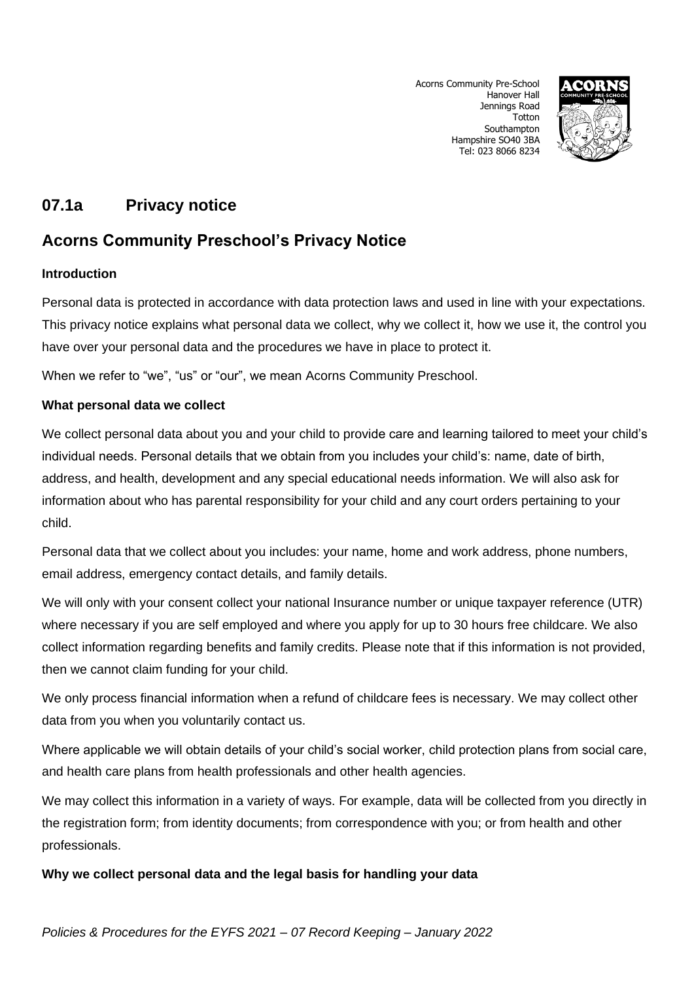Acorns Community Pre-School Hanover Hall Jennings Road **Totton** Southampton Hampshire SO40 3BA Tel: 023 8066 8234



# **07.1a Privacy notice**

# **Acorns Community Preschool's Privacy Notice**

## **Introduction**

Personal data is protected in accordance with data protection laws and used in line with your expectations. This privacy notice explains what personal data we collect, why we collect it, how we use it, the control you have over your personal data and the procedures we have in place to protect it.

When we refer to "we", "us" or "our", we mean Acorns Community Preschool.

## **What personal data we collect**

We collect personal data about you and your child to provide care and learning tailored to meet your child's individual needs. Personal details that we obtain from you includes your child's: name, date of birth, address, and health, development and any special educational needs information. We will also ask for information about who has parental responsibility for your child and any court orders pertaining to your child.

Personal data that we collect about you includes: your name, home and work address, phone numbers, email address, emergency contact details, and family details.

We will only with your consent collect your national Insurance number or unique taxpayer reference (UTR) where necessary if you are self employed and where you apply for up to 30 hours free childcare. We also collect information regarding benefits and family credits. Please note that if this information is not provided, then we cannot claim funding for your child.

We only process financial information when a refund of childcare fees is necessary. We may collect other data from you when you voluntarily contact us.

Where applicable we will obtain details of your child's social worker, child protection plans from social care, and health care plans from health professionals and other health agencies.

We may collect this information in a variety of ways. For example, data will be collected from you directly in the registration form; from identity documents; from correspondence with you; or from health and other professionals.

## **Why we collect personal data and the legal basis for handling your data**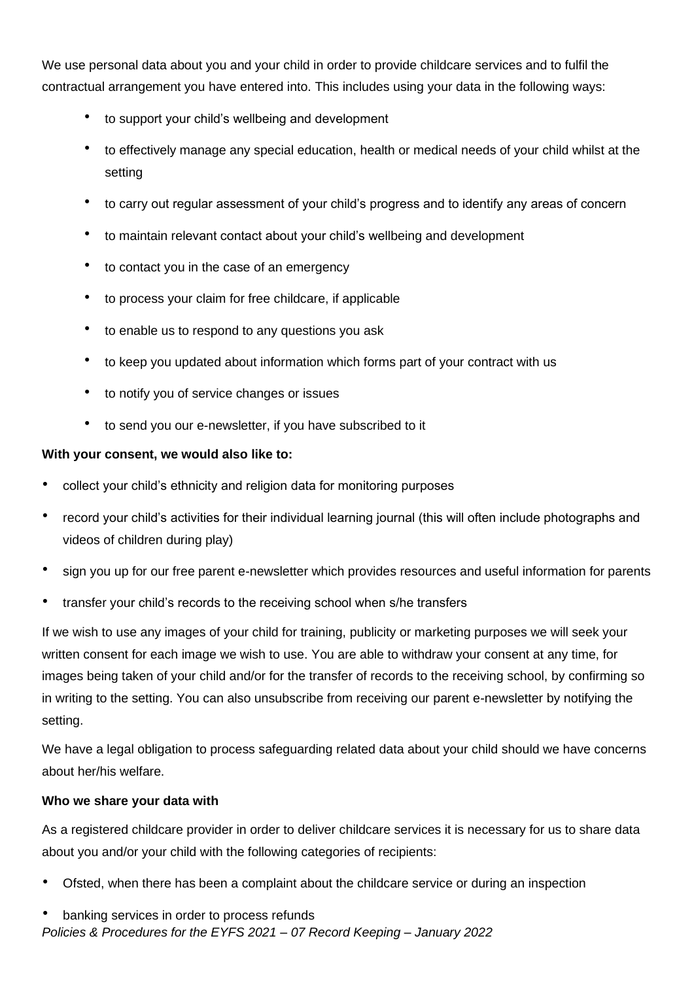We use personal data about you and your child in order to provide childcare services and to fulfil the contractual arrangement you have entered into. This includes using your data in the following ways:

- to support your child's wellbeing and development
- to effectively manage any special education, health or medical needs of your child whilst at the setting
- to carry out regular assessment of your child's progress and to identify any areas of concern
- to maintain relevant contact about your child's wellbeing and development
- to contact you in the case of an emergency
- to process your claim for free childcare, if applicable
- to enable us to respond to any questions you ask
- to keep you updated about information which forms part of your contract with us
- to notify you of service changes or issues
- to send you our e-newsletter, if you have subscribed to it

## **With your consent, we would also like to:**

- collect your child's ethnicity and religion data for monitoring purposes
- record your child's activities for their individual learning journal (this will often include photographs and videos of children during play)
- sign you up for our free parent e-newsletter which provides resources and useful information for parents
- transfer your child's records to the receiving school when s/he transfers

If we wish to use any images of your child for training, publicity or marketing purposes we will seek your written consent for each image we wish to use. You are able to withdraw your consent at any time, for images being taken of your child and/or for the transfer of records to the receiving school, by confirming so in writing to the setting. You can also unsubscribe from receiving our parent e-newsletter by notifying the setting.

We have a legal obligation to process safeguarding related data about your child should we have concerns about her/his welfare.

## **Who we share your data with**

As a registered childcare provider in order to deliver childcare services it is necessary for us to share data about you and/or your child with the following categories of recipients:

- Ofsted, when there has been a complaint about the childcare service or during an inspection
- banking services in order to process refunds
- *Policies & Procedures for the EYFS 2021 – 07 Record Keeping – January 2022*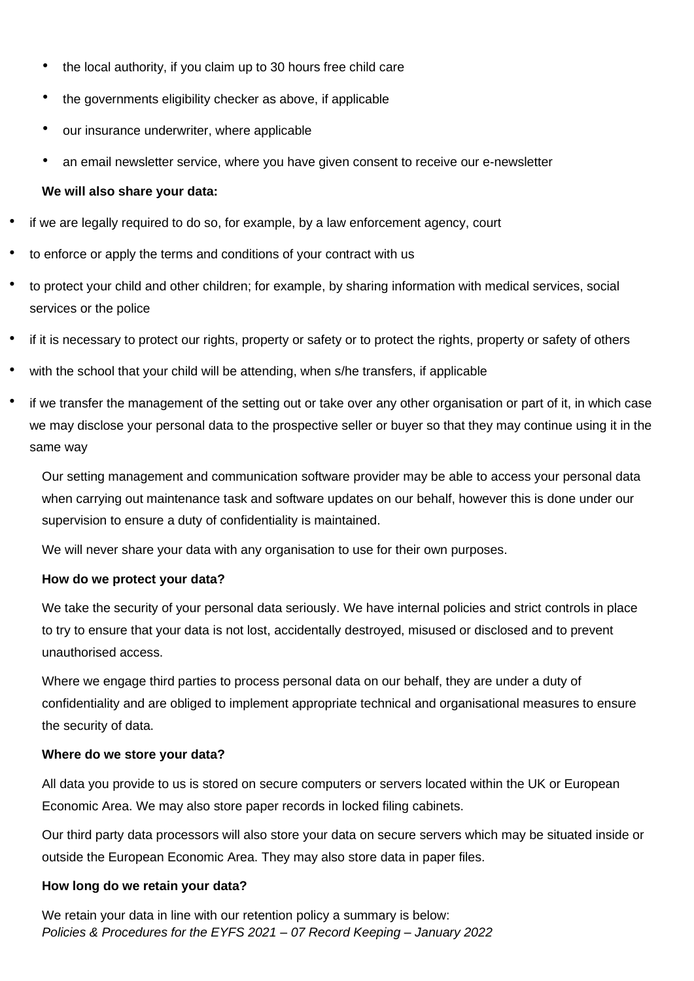- the local authority, if you claim up to 30 hours free child care
- the governments eligibility checker as above, if applicable
- our insurance underwriter, where applicable
- an email newsletter service, where you have given consent to receive our e-newsletter

## **We will also share your data:**

- if we are legally required to do so, for example, by a law enforcement agency, court
- to enforce or apply the terms and conditions of your contract with us
- to protect your child and other children; for example, by sharing information with medical services, social services or the police
- if it is necessary to protect our rights, property or safety or to protect the rights, property or safety of others
- with the school that your child will be attending, when s/he transfers, if applicable
- if we transfer the management of the setting out or take over any other organisation or part of it, in which case we may disclose your personal data to the prospective seller or buyer so that they may continue using it in the same way

Our setting management and communication software provider may be able to access your personal data when carrying out maintenance task and software updates on our behalf, however this is done under our supervision to ensure a duty of confidentiality is maintained.

We will never share your data with any organisation to use for their own purposes.

## **How do we protect your data?**

We take the security of your personal data seriously. We have internal policies and strict controls in place to try to ensure that your data is not lost, accidentally destroyed, misused or disclosed and to prevent unauthorised access.

Where we engage third parties to process personal data on our behalf, they are under a duty of confidentiality and are obliged to implement appropriate technical and organisational measures to ensure the security of data.

## **Where do we store your data?**

All data you provide to us is stored on secure computers or servers located within the UK or European Economic Area. We may also store paper records in locked filing cabinets.

Our third party data processors will also store your data on secure servers which may be situated inside or outside the European Economic Area. They may also store data in paper files.

## **How long do we retain your data?**

*Policies & Procedures for the EYFS 2021 – 07 Record Keeping – January 2022* We retain your data in line with our retention policy a summary is below: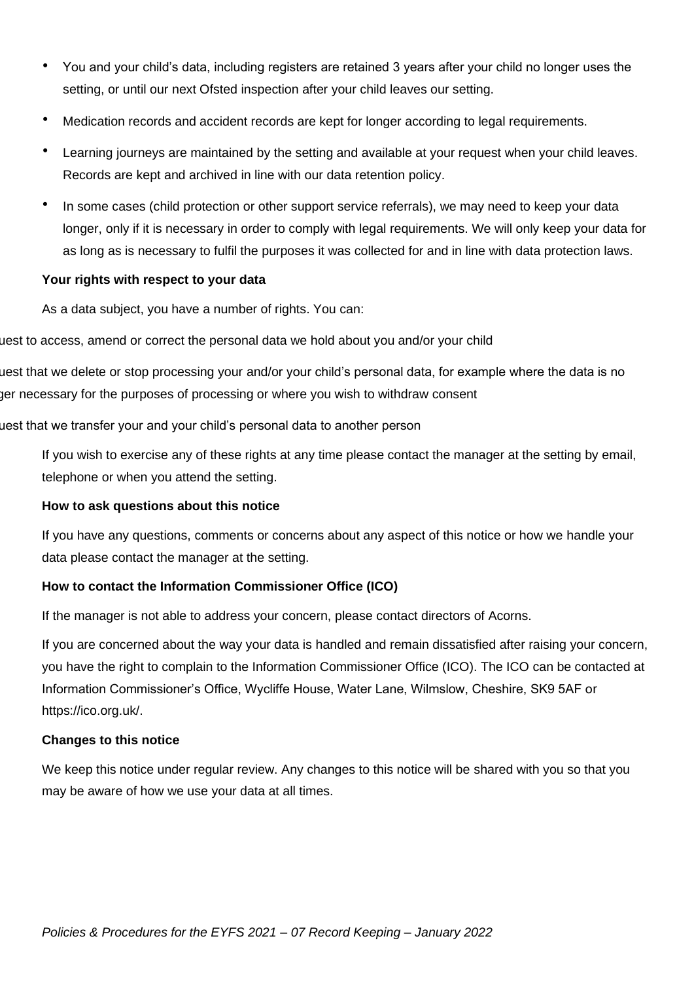- You and your child's data, including registers are retained 3 years after your child no longer uses the setting, or until our next Ofsted inspection after your child leaves our setting.
- Medication records and accident records are kept for longer according to legal requirements.
- Learning journeys are maintained by the setting and available at your request when your child leaves. Records are kept and archived in line with our data retention policy.
- In some cases (child protection or other support service referrals), we may need to keep your data longer, only if it is necessary in order to comply with legal requirements. We will only keep your data for as long as is necessary to fulfil the purposes it was collected for and in line with data protection laws.

#### **Your rights with respect to your data**

As a data subject, you have a number of rights. You can:

uest to access, amend or correct the personal data we hold about you and/or your child

uest that we delete or stop processing your and/or your child's personal data, for example where the data is no ger necessary for the purposes of processing or where you wish to withdraw consent

uest that we transfer your and your child's personal data to another person

If you wish to exercise any of these rights at any time please contact the manager at the setting by email, telephone or when you attend the setting.

#### **How to ask questions about this notice**

If you have any questions, comments or concerns about any aspect of this notice or how we handle your data please contact the manager at the setting.

## **How to contact the Information Commissioner Office (ICO)**

If the manager is not able to address your concern, please contact directors of Acorns.

If you are concerned about the way your data is handled and remain dissatisfied after raising your concern, you have the right to complain to the Information Commissioner Office (ICO). The ICO can be contacted at Information Commissioner's Office, Wycliffe House, Water Lane, Wilmslow, Cheshire, SK9 5AF or https://ico.org.uk/.

#### **Changes to this notice**

We keep this notice under regular review. Any changes to this notice will be shared with you so that you may be aware of how we use your data at all times.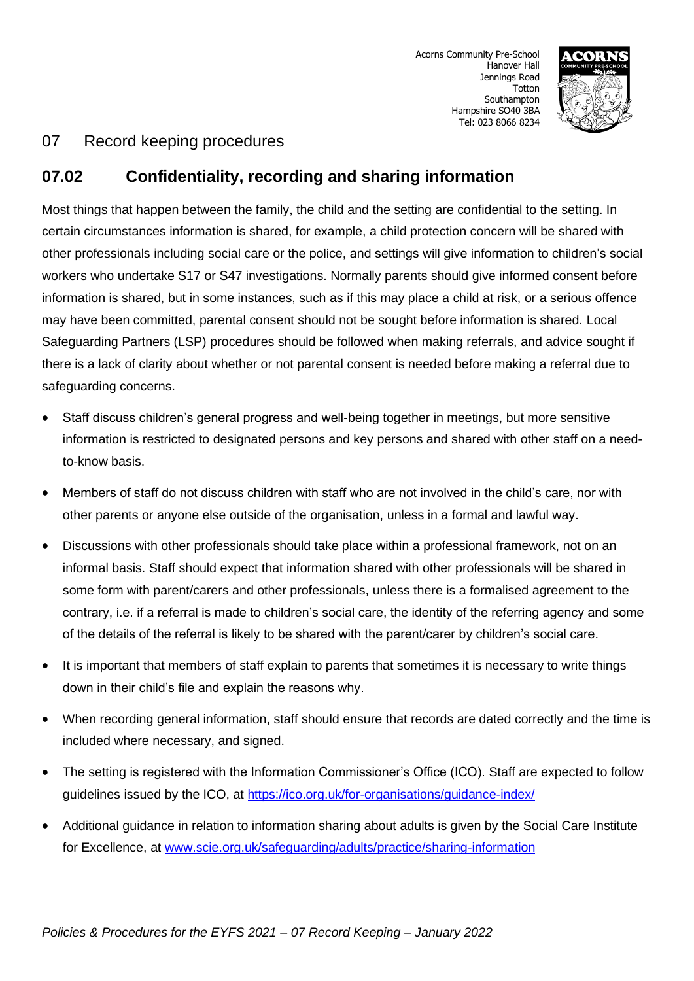

# **07.02 Confidentiality, recording and sharing information**

Most things that happen between the family, the child and the setting are confidential to the setting. In certain circumstances information is shared, for example, a child protection concern will be shared with other professionals including social care or the police, and settings will give information to children's social workers who undertake S17 or S47 investigations. Normally parents should give informed consent before information is shared, but in some instances, such as if this may place a child at risk, or a serious offence may have been committed, parental consent should not be sought before information is shared. Local Safeguarding Partners (LSP) procedures should be followed when making referrals, and advice sought if there is a lack of clarity about whether or not parental consent is needed before making a referral due to safeguarding concerns.

- Staff discuss children's general progress and well-being together in meetings, but more sensitive information is restricted to designated persons and key persons and shared with other staff on a needto-know basis.
- Members of staff do not discuss children with staff who are not involved in the child's care, nor with other parents or anyone else outside of the organisation, unless in a formal and lawful way.
- Discussions with other professionals should take place within a professional framework, not on an informal basis. Staff should expect that information shared with other professionals will be shared in some form with parent/carers and other professionals, unless there is a formalised agreement to the contrary, i.e. if a referral is made to children's social care, the identity of the referring agency and some of the details of the referral is likely to be shared with the parent/carer by children's social care.
- It is important that members of staff explain to parents that sometimes it is necessary to write things down in their child's file and explain the reasons why.
- When recording general information, staff should ensure that records are dated correctly and the time is included where necessary, and signed.
- The setting is registered with the Information Commissioner's Office (ICO). Staff are expected to follow guidelines issued by the ICO, at <https://ico.org.uk/for-organisations/guidance-index/>
- Additional guidance in relation to information sharing about adults is given by the Social Care Institute for Excellence, at [www.scie.org.uk/safeguarding/adults/practice/sharing-information](http://www.scie.org.uk/safeguarding/adults/practice/sharing-information)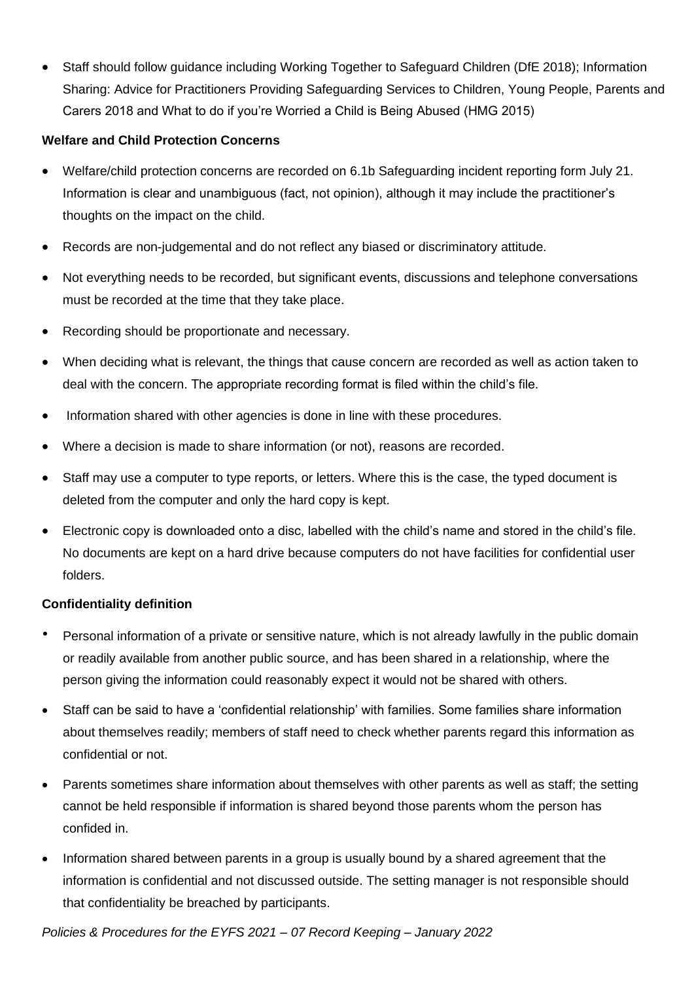• Staff should follow guidance including Working Together to Safeguard Children (DfE 2018); Information Sharing: Advice for Practitioners Providing Safeguarding Services to Children, Young People, Parents and Carers 2018 and What to do if you're Worried a Child is Being Abused (HMG 2015)

## **Welfare and Child Protection Concerns**

- Welfare/child protection concerns are recorded on 6.1b Safeguarding incident reporting form July 21. Information is clear and unambiguous (fact, not opinion), although it may include the practitioner's thoughts on the impact on the child.
- Records are non-judgemental and do not reflect any biased or discriminatory attitude.
- Not everything needs to be recorded, but significant events, discussions and telephone conversations must be recorded at the time that they take place.
- Recording should be proportionate and necessary.
- When deciding what is relevant, the things that cause concern are recorded as well as action taken to deal with the concern. The appropriate recording format is filed within the child's file.
- Information shared with other agencies is done in line with these procedures.
- Where a decision is made to share information (or not), reasons are recorded.
- Staff may use a computer to type reports, or letters. Where this is the case, the typed document is deleted from the computer and only the hard copy is kept.
- Electronic copy is downloaded onto a disc, labelled with the child's name and stored in the child's file. No documents are kept on a hard drive because computers do not have facilities for confidential user folders.

#### **Confidentiality definition**

- Personal information of a private or sensitive nature, which is not already lawfully in the public domain or readily available from another public source, and has been shared in a relationship, where the person giving the information could reasonably expect it would not be shared with others.
- Staff can be said to have a 'confidential relationship' with families. Some families share information about themselves readily; members of staff need to check whether parents regard this information as confidential or not.
- Parents sometimes share information about themselves with other parents as well as staff; the setting cannot be held responsible if information is shared beyond those parents whom the person has confided in.
- Information shared between parents in a group is usually bound by a shared agreement that the information is confidential and not discussed outside. The setting manager is not responsible should that confidentiality be breached by participants.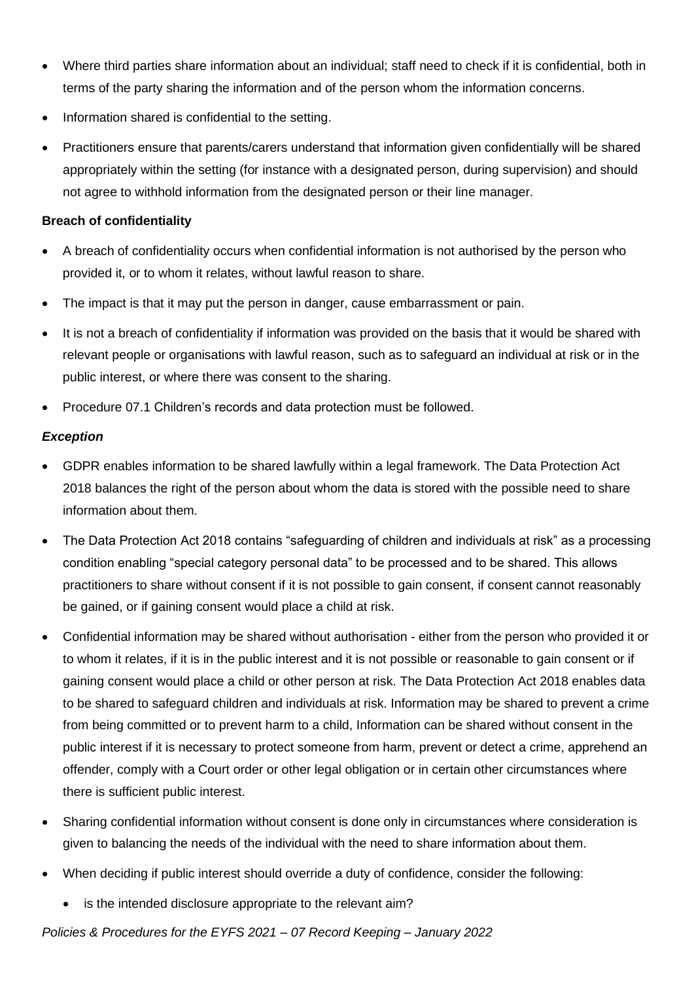- Where third parties share information about an individual; staff need to check if it is confidential, both in terms of the party sharing the information and of the person whom the information concerns.
- Information shared is confidential to the setting.
- Practitioners ensure that parents/carers understand that information given confidentially will be shared appropriately within the setting (for instance with a designated person, during supervision) and should not agree to withhold information from the designated person or their line manager.

#### **Breach of confidentiality**

- A breach of confidentiality occurs when confidential information is not authorised by the person who provided it, or to whom it relates, without lawful reason to share.
- The impact is that it may put the person in danger, cause embarrassment or pain.
- It is not a breach of confidentiality if information was provided on the basis that it would be shared with relevant people or organisations with lawful reason, such as to safeguard an individual at risk or in the public interest, or where there was consent to the sharing.
- Procedure 07.1 Children's records and data protection must be followed.

## *Exception*

- GDPR enables information to be shared lawfully within a legal framework. The Data Protection Act 2018 balances the right of the person about whom the data is stored with the possible need to share information about them.
- The Data Protection Act 2018 contains "safeguarding of children and individuals at risk" as a processing condition enabling "special category personal data" to be processed and to be shared. This allows practitioners to share without consent if it is not possible to gain consent, if consent cannot reasonably be gained, or if gaining consent would place a child at risk.
- Confidential information may be shared without authorisation either from the person who provided it or to whom it relates, if it is in the public interest and it is not possible or reasonable to gain consent or if gaining consent would place a child or other person at risk. The Data Protection Act 2018 enables data to be shared to safeguard children and individuals at risk. Information may be shared to prevent a crime from being committed or to prevent harm to a child, Information can be shared without consent in the public interest if it is necessary to protect someone from harm, prevent or detect a crime, apprehend an offender, comply with a Court order or other legal obligation or in certain other circumstances where there is sufficient public interest.
- Sharing confidential information without consent is done only in circumstances where consideration is given to balancing the needs of the individual with the need to share information about them.
- When deciding if public interest should override a duty of confidence, consider the following:
	- is the intended disclosure appropriate to the relevant aim?

*Policies & Procedures for the EYFS 2021 – 07 Record Keeping – January 2022*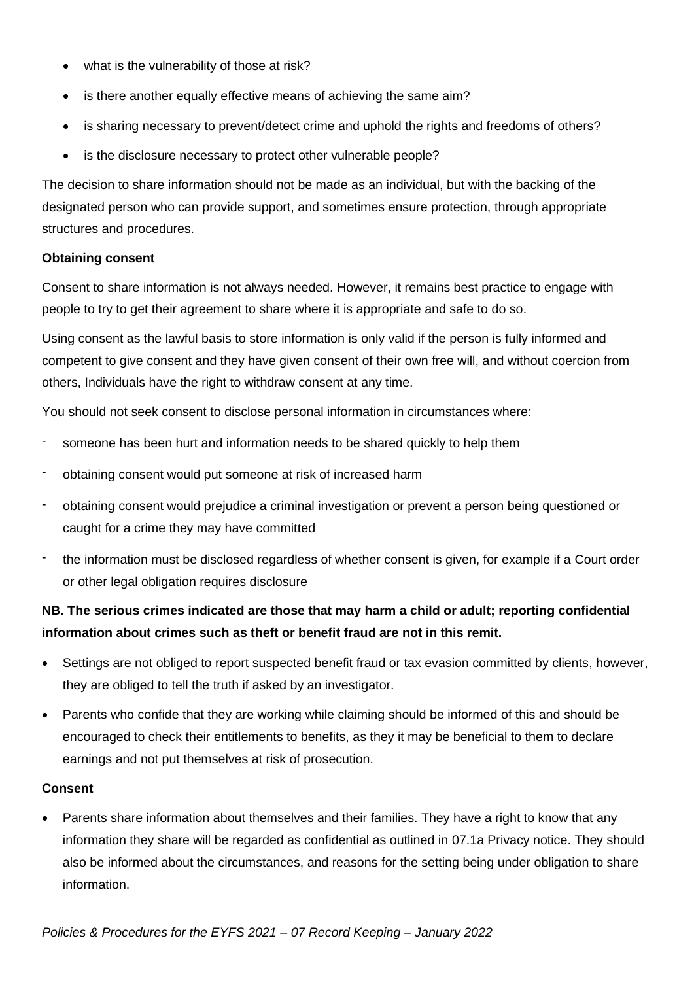- what is the vulnerability of those at risk?
- is there another equally effective means of achieving the same aim?
- is sharing necessary to prevent/detect crime and uphold the rights and freedoms of others?
- is the disclosure necessary to protect other vulnerable people?

The decision to share information should not be made as an individual, but with the backing of the designated person who can provide support, and sometimes ensure protection, through appropriate structures and procedures.

#### **Obtaining consent**

Consent to share information is not always needed. However, it remains best practice to engage with people to try to get their agreement to share where it is appropriate and safe to do so.

Using consent as the lawful basis to store information is only valid if the person is fully informed and competent to give consent and they have given consent of their own free will, and without coercion from others, Individuals have the right to withdraw consent at any time.

You should not seek consent to disclose personal information in circumstances where:

- someone has been hurt and information needs to be shared quickly to help them
- obtaining consent would put someone at risk of increased harm
- obtaining consent would prejudice a criminal investigation or prevent a person being questioned or caught for a crime they may have committed
- the information must be disclosed regardless of whether consent is given, for example if a Court order or other legal obligation requires disclosure

## **NB. The serious crimes indicated are those that may harm a child or adult; reporting confidential information about crimes such as theft or benefit fraud are not in this remit.**

- Settings are not obliged to report suspected benefit fraud or tax evasion committed by clients, however, they are obliged to tell the truth if asked by an investigator.
- Parents who confide that they are working while claiming should be informed of this and should be encouraged to check their entitlements to benefits, as they it may be beneficial to them to declare earnings and not put themselves at risk of prosecution.

## **Consent**

• Parents share information about themselves and their families. They have a right to know that any information they share will be regarded as confidential as outlined in 07.1a Privacy notice. They should also be informed about the circumstances, and reasons for the setting being under obligation to share information.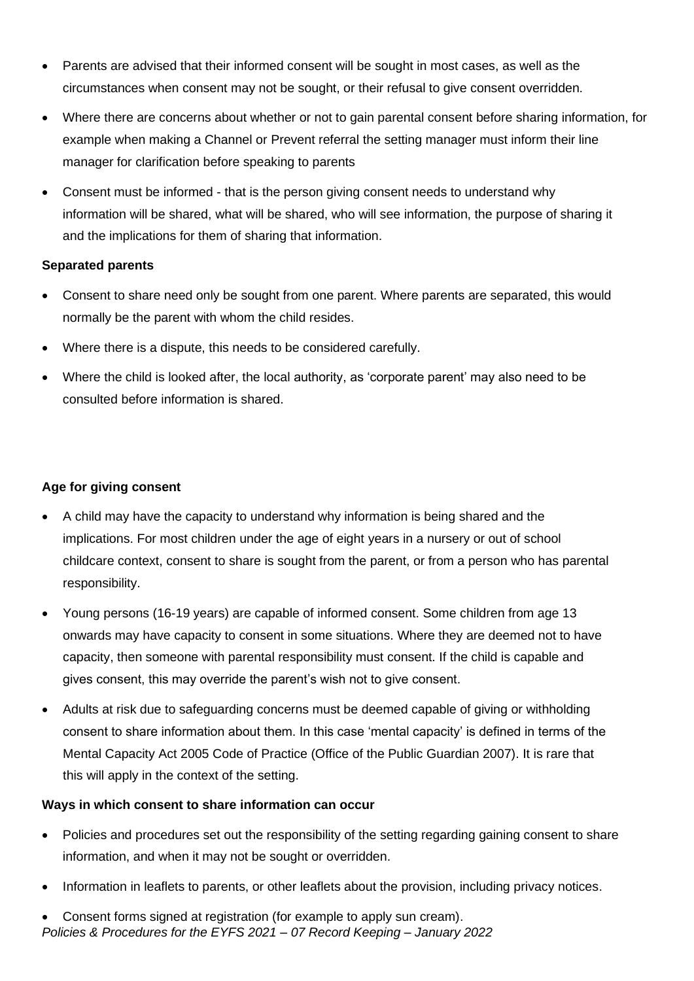- Parents are advised that their informed consent will be sought in most cases, as well as the circumstances when consent may not be sought, or their refusal to give consent overridden.
- Where there are concerns about whether or not to gain parental consent before sharing information, for example when making a Channel or Prevent referral the setting manager must inform their line manager for clarification before speaking to parents
- Consent must be informed that is the person giving consent needs to understand why information will be shared, what will be shared, who will see information, the purpose of sharing it and the implications for them of sharing that information.

#### **Separated parents**

- Consent to share need only be sought from one parent. Where parents are separated, this would normally be the parent with whom the child resides.
- Where there is a dispute, this needs to be considered carefully.
- Where the child is looked after, the local authority, as 'corporate parent' may also need to be consulted before information is shared.

## **Age for giving consent**

- A child may have the capacity to understand why information is being shared and the implications. For most children under the age of eight years in a nursery or out of school childcare context, consent to share is sought from the parent, or from a person who has parental responsibility.
- Young persons (16-19 years) are capable of informed consent. Some children from age 13 onwards may have capacity to consent in some situations. Where they are deemed not to have capacity, then someone with parental responsibility must consent. If the child is capable and gives consent, this may override the parent's wish not to give consent.
- Adults at risk due to safeguarding concerns must be deemed capable of giving or withholding consent to share information about them. In this case 'mental capacity' is defined in terms of the Mental Capacity Act 2005 Code of Practice (Office of the Public Guardian 2007). It is rare that this will apply in the context of the setting.

## **Ways in which consent to share information can occur**

- Policies and procedures set out the responsibility of the setting regarding gaining consent to share information, and when it may not be sought or overridden.
- Information in leaflets to parents, or other leaflets about the provision, including privacy notices.
- *Policies & Procedures for the EYFS 2021 – 07 Record Keeping – January 2022* • Consent forms signed at registration (for example to apply sun cream).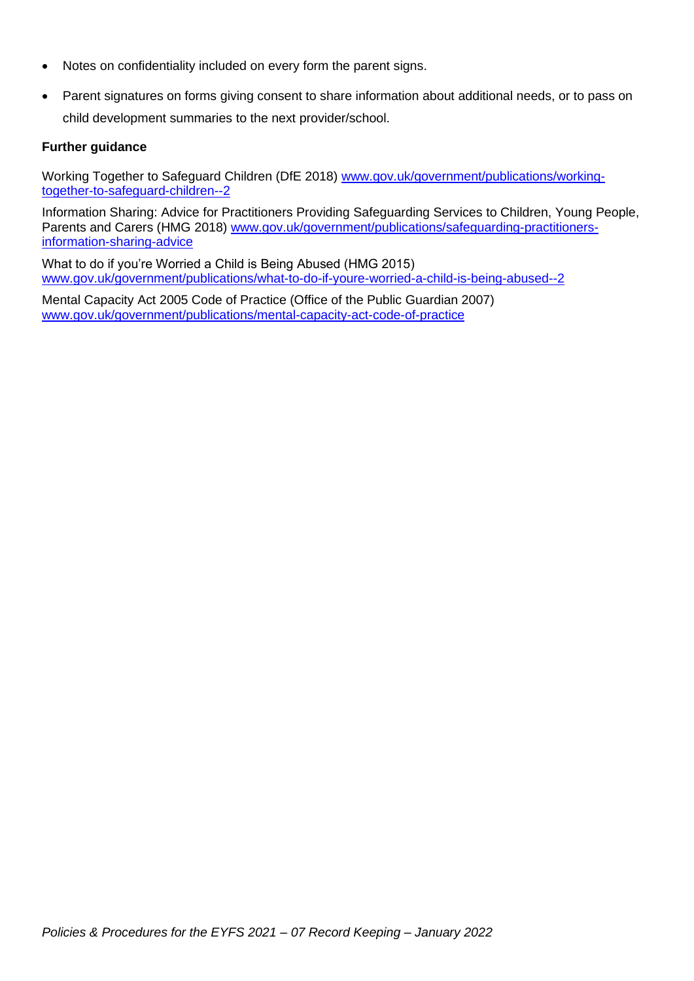- Notes on confidentiality included on every form the parent signs.
- Parent signatures on forms giving consent to share information about additional needs, or to pass on child development summaries to the next provider/school.

#### **Further guidance**

Working Together to Safeguard Children (DfE 2018) [www.gov.uk/government/publications/working](http://www.gov.uk/government/publications/working-together-to-safeguard-children--2)[together-to-safeguard-children--2](http://www.gov.uk/government/publications/working-together-to-safeguard-children--2)

Information Sharing: Advice for Practitioners Providing Safeguarding Services to Children, Young People, Parents and Carers (HMG 2018) [www.gov.uk/government/publications/safeguarding-practitioners](http://www.gov.uk/government/publications/safeguarding-practitioners-information-sharing-advice)[information-sharing-advice](http://www.gov.uk/government/publications/safeguarding-practitioners-information-sharing-advice)

What to do if you're Worried a Child is Being Abused (HMG 2015) [www.gov.uk/government/publications/what-to-do-if-youre-worried-a-child-is-being-abused--2](http://www.gov.uk/government/publications/what-to-do-if-youre-worried-a-child-is-being-abused--2)

Mental Capacity Act 2005 Code of Practice (Office of the Public Guardian 2007) [www.gov.uk/government/publications/mental-capacity-act-code-of-practice](http://www.gov.uk/government/publications/mental-capacity-act-code-of-practice)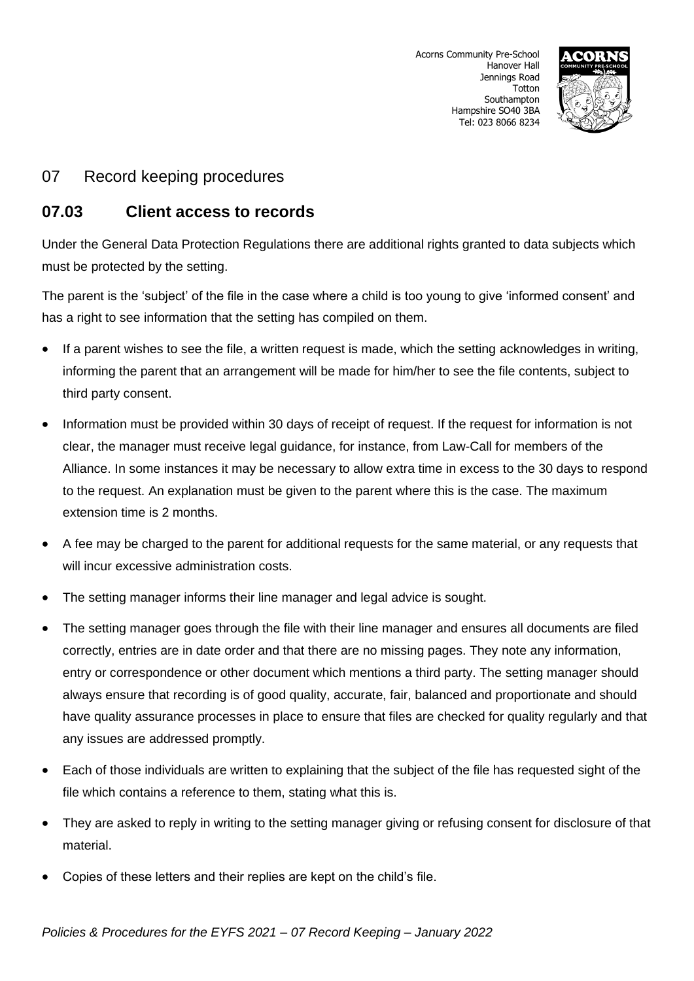

## **07.03 Client access to records**

Under the General Data Protection Regulations there are additional rights granted to data subjects which must be protected by the setting.

The parent is the 'subject' of the file in the case where a child is too young to give 'informed consent' and has a right to see information that the setting has compiled on them.

- If a parent wishes to see the file, a written request is made, which the setting acknowledges in writing, informing the parent that an arrangement will be made for him/her to see the file contents, subject to third party consent.
- Information must be provided within 30 days of receipt of request. If the request for information is not clear, the manager must receive legal guidance, for instance, from Law-Call for members of the Alliance. In some instances it may be necessary to allow extra time in excess to the 30 days to respond to the request. An explanation must be given to the parent where this is the case. The maximum extension time is 2 months.
- A fee may be charged to the parent for additional requests for the same material, or any requests that will incur excessive administration costs.
- The setting manager informs their line manager and legal advice is sought.
- The setting manager goes through the file with their line manager and ensures all documents are filed correctly, entries are in date order and that there are no missing pages. They note any information, entry or correspondence or other document which mentions a third party. The setting manager should always ensure that recording is of good quality, accurate, fair, balanced and proportionate and should have quality assurance processes in place to ensure that files are checked for quality regularly and that any issues are addressed promptly.
- Each of those individuals are written to explaining that the subject of the file has requested sight of the file which contains a reference to them, stating what this is.
- They are asked to reply in writing to the setting manager giving or refusing consent for disclosure of that material.
- Copies of these letters and their replies are kept on the child's file.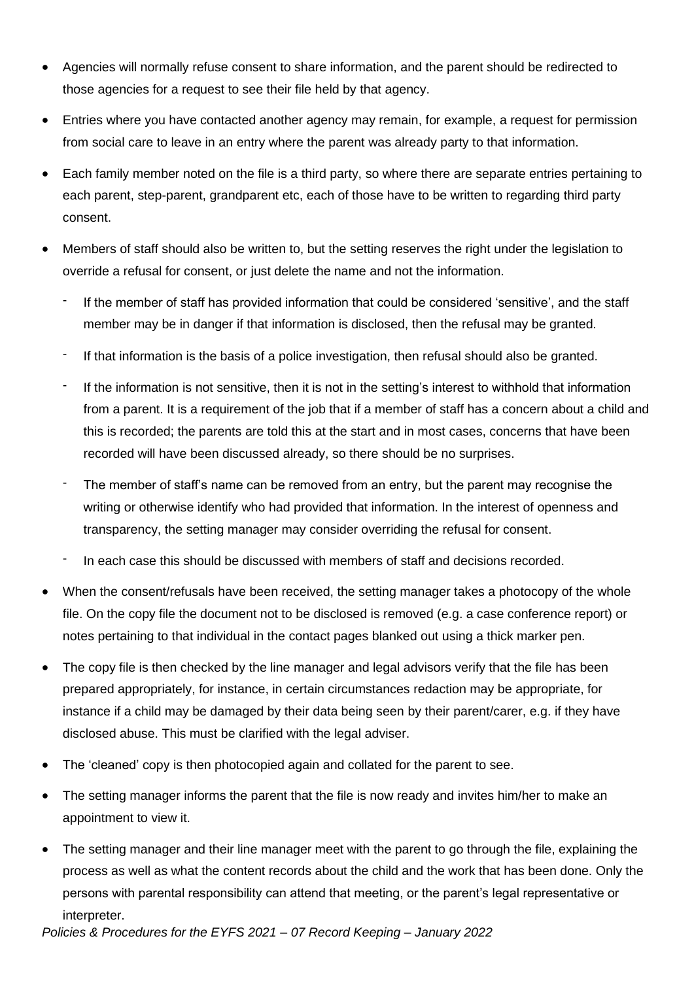- Agencies will normally refuse consent to share information, and the parent should be redirected to those agencies for a request to see their file held by that agency.
- Entries where you have contacted another agency may remain, for example, a request for permission from social care to leave in an entry where the parent was already party to that information.
- Each family member noted on the file is a third party, so where there are separate entries pertaining to each parent, step-parent, grandparent etc, each of those have to be written to regarding third party consent.
- Members of staff should also be written to, but the setting reserves the right under the legislation to override a refusal for consent, or just delete the name and not the information.
	- If the member of staff has provided information that could be considered 'sensitive', and the staff member may be in danger if that information is disclosed, then the refusal may be granted.
	- If that information is the basis of a police investigation, then refusal should also be granted.
	- If the information is not sensitive, then it is not in the setting's interest to withhold that information from a parent. It is a requirement of the job that if a member of staff has a concern about a child and this is recorded; the parents are told this at the start and in most cases, concerns that have been recorded will have been discussed already, so there should be no surprises.
	- The member of staff's name can be removed from an entry, but the parent may recognise the writing or otherwise identify who had provided that information. In the interest of openness and transparency, the setting manager may consider overriding the refusal for consent.
	- In each case this should be discussed with members of staff and decisions recorded.
- When the consent/refusals have been received, the setting manager takes a photocopy of the whole file. On the copy file the document not to be disclosed is removed (e.g. a case conference report) or notes pertaining to that individual in the contact pages blanked out using a thick marker pen.
- The copy file is then checked by the line manager and legal advisors verify that the file has been prepared appropriately, for instance, in certain circumstances redaction may be appropriate, for instance if a child may be damaged by their data being seen by their parent/carer, e.g. if they have disclosed abuse. This must be clarified with the legal adviser.
- The 'cleaned' copy is then photocopied again and collated for the parent to see.
- The setting manager informs the parent that the file is now ready and invites him/her to make an appointment to view it.
- The setting manager and their line manager meet with the parent to go through the file, explaining the process as well as what the content records about the child and the work that has been done. Only the persons with parental responsibility can attend that meeting, or the parent's legal representative or interpreter.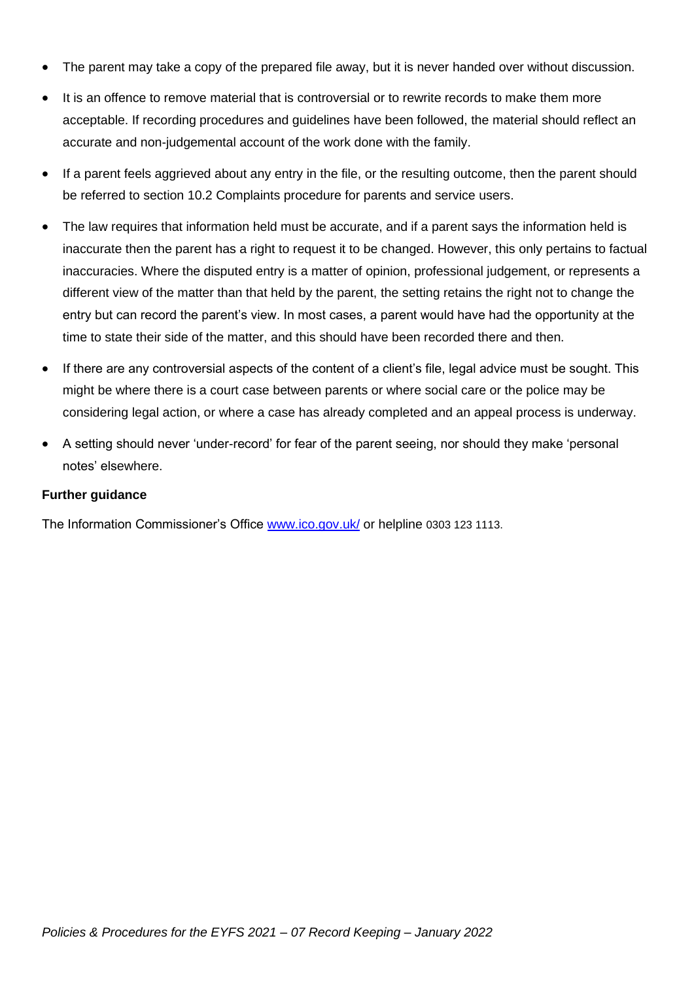- The parent may take a copy of the prepared file away, but it is never handed over without discussion.
- It is an offence to remove material that is controversial or to rewrite records to make them more acceptable. If recording procedures and guidelines have been followed, the material should reflect an accurate and non-judgemental account of the work done with the family.
- If a parent feels aggrieved about any entry in the file, or the resulting outcome, then the parent should be referred to section 10.2 Complaints procedure for parents and service users.
- The law requires that information held must be accurate, and if a parent says the information held is inaccurate then the parent has a right to request it to be changed. However, this only pertains to factual inaccuracies. Where the disputed entry is a matter of opinion, professional judgement, or represents a different view of the matter than that held by the parent, the setting retains the right not to change the entry but can record the parent's view. In most cases, a parent would have had the opportunity at the time to state their side of the matter, and this should have been recorded there and then.
- If there are any controversial aspects of the content of a client's file, legal advice must be sought. This might be where there is a court case between parents or where social care or the police may be considering legal action, or where a case has already completed and an appeal process is underway.
- A setting should never 'under-record' for fear of the parent seeing, nor should they make 'personal notes' elsewhere.

#### **Further guidance**

The Information Commissioner's Office [www.ico.gov.uk/](http://www.ico.gov.uk/) or helpline 0303 123 1113.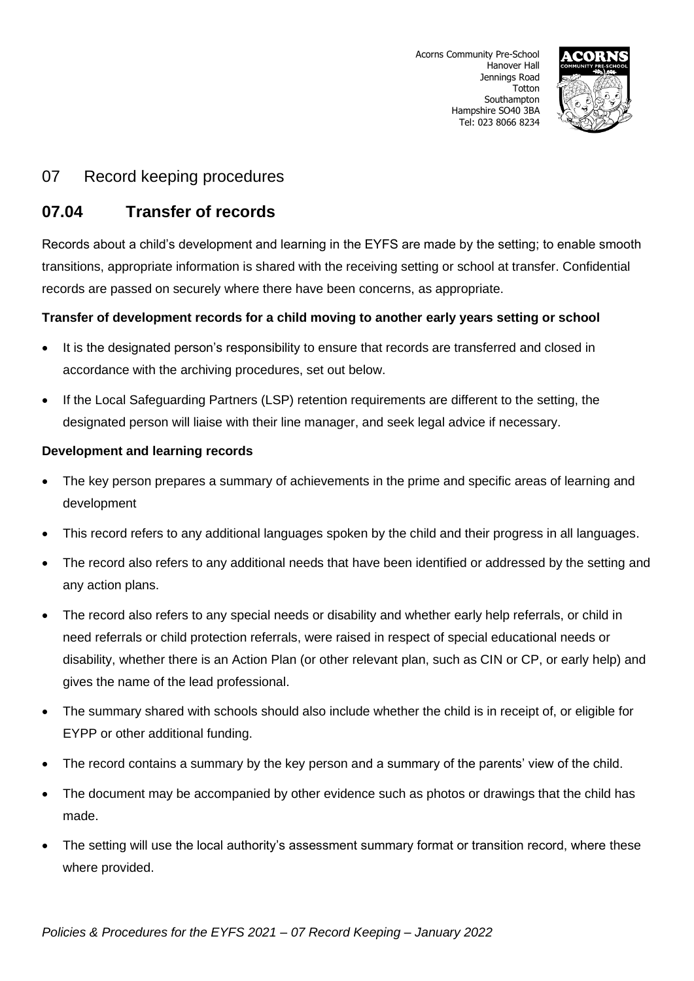

## **07.04 Transfer of records**

Records about a child's development and learning in the EYFS are made by the setting; to enable smooth transitions, appropriate information is shared with the receiving setting or school at transfer. Confidential records are passed on securely where there have been concerns, as appropriate.

## **Transfer of development records for a child moving to another early years setting or school**

- It is the designated person's responsibility to ensure that records are transferred and closed in accordance with the archiving procedures, set out below.
- If the Local Safeguarding Partners (LSP) retention requirements are different to the setting, the designated person will liaise with their line manager, and seek legal advice if necessary.

## **Development and learning records**

- The key person prepares a summary of achievements in the prime and specific areas of learning and development
- This record refers to any additional languages spoken by the child and their progress in all languages.
- The record also refers to any additional needs that have been identified or addressed by the setting and any action plans.
- The record also refers to any special needs or disability and whether early help referrals, or child in need referrals or child protection referrals, were raised in respect of special educational needs or disability, whether there is an Action Plan (or other relevant plan, such as CIN or CP, or early help) and gives the name of the lead professional.
- The summary shared with schools should also include whether the child is in receipt of, or eligible for EYPP or other additional funding.
- The record contains a summary by the key person and a summary of the parents' view of the child.
- The document may be accompanied by other evidence such as photos or drawings that the child has made.
- The setting will use the local authority's assessment summary format or transition record, where these where provided.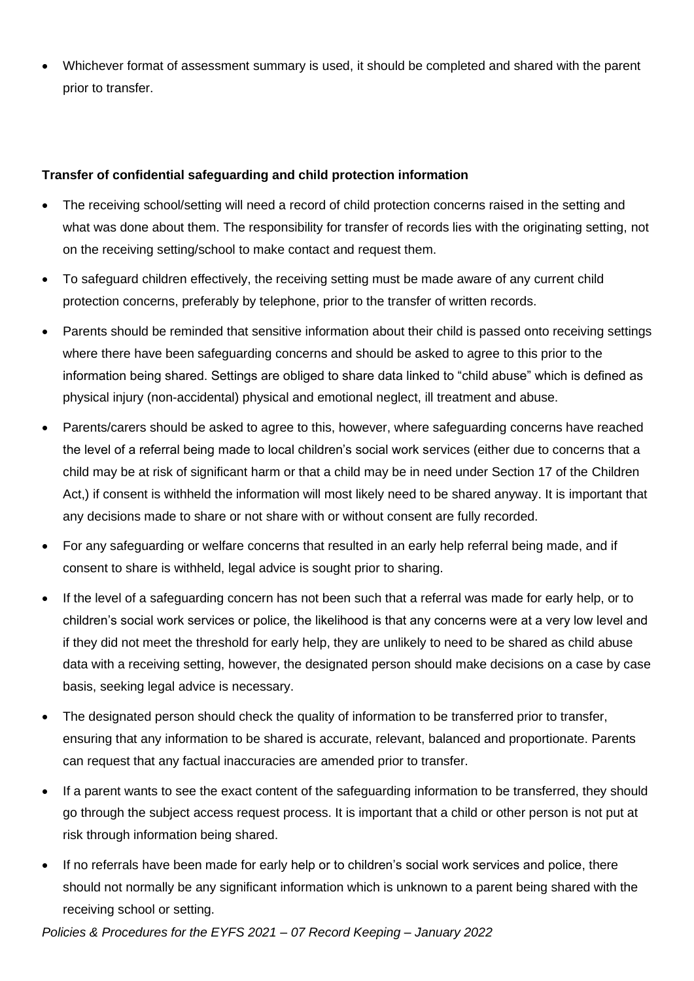• Whichever format of assessment summary is used, it should be completed and shared with the parent prior to transfer.

## **Transfer of confidential safeguarding and child protection information**

- The receiving school/setting will need a record of child protection concerns raised in the setting and what was done about them. The responsibility for transfer of records lies with the originating setting, not on the receiving setting/school to make contact and request them.
- To safeguard children effectively, the receiving setting must be made aware of any current child protection concerns, preferably by telephone, prior to the transfer of written records.
- Parents should be reminded that sensitive information about their child is passed onto receiving settings where there have been safeguarding concerns and should be asked to agree to this prior to the information being shared. Settings are obliged to share data linked to "child abuse" which is defined as physical injury (non-accidental) physical and emotional neglect, ill treatment and abuse.
- Parents/carers should be asked to agree to this, however, where safeguarding concerns have reached the level of a referral being made to local children's social work services (either due to concerns that a child may be at risk of significant harm or that a child may be in need under Section 17 of the Children Act,) if consent is withheld the information will most likely need to be shared anyway. It is important that any decisions made to share or not share with or without consent are fully recorded.
- For any safeguarding or welfare concerns that resulted in an early help referral being made, and if consent to share is withheld, legal advice is sought prior to sharing.
- If the level of a safeguarding concern has not been such that a referral was made for early help, or to children's social work services or police, the likelihood is that any concerns were at a very low level and if they did not meet the threshold for early help, they are unlikely to need to be shared as child abuse data with a receiving setting, however, the designated person should make decisions on a case by case basis, seeking legal advice is necessary.
- The designated person should check the quality of information to be transferred prior to transfer, ensuring that any information to be shared is accurate, relevant, balanced and proportionate. Parents can request that any factual inaccuracies are amended prior to transfer.
- If a parent wants to see the exact content of the safeguarding information to be transferred, they should go through the subject access request process. It is important that a child or other person is not put at risk through information being shared.
- If no referrals have been made for early help or to children's social work services and police, there should not normally be any significant information which is unknown to a parent being shared with the receiving school or setting.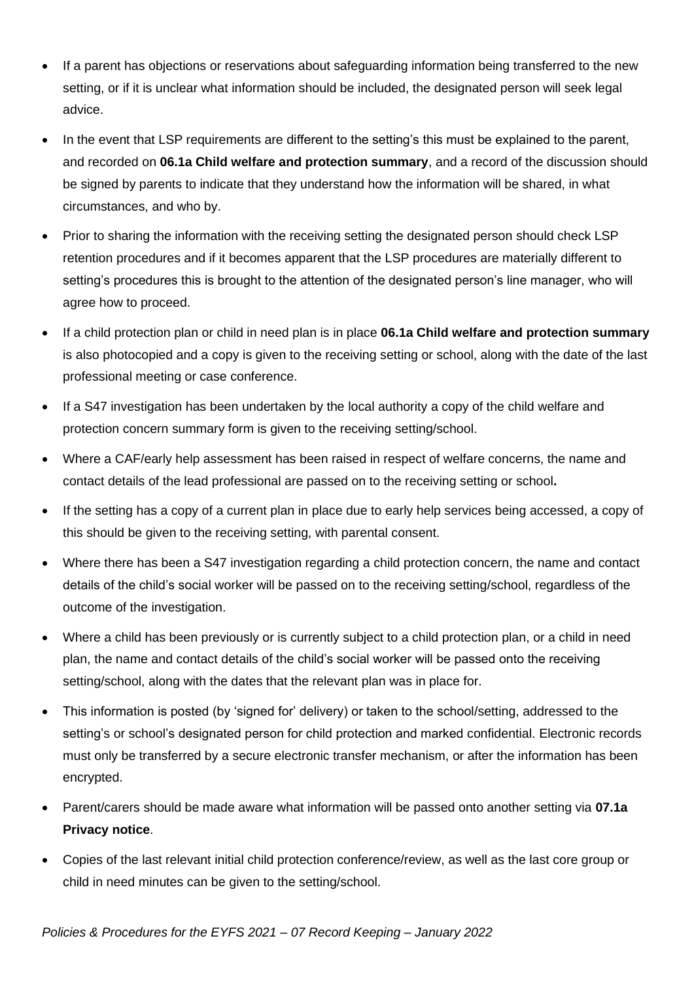- If a parent has objections or reservations about safeguarding information being transferred to the new setting, or if it is unclear what information should be included, the designated person will seek legal advice.
- In the event that LSP requirements are different to the setting's this must be explained to the parent, and recorded on **06.1a Child welfare and protection summary**, and a record of the discussion should be signed by parents to indicate that they understand how the information will be shared, in what circumstances, and who by.
- Prior to sharing the information with the receiving setting the designated person should check LSP retention procedures and if it becomes apparent that the LSP procedures are materially different to setting's procedures this is brought to the attention of the designated person's line manager, who will agree how to proceed.
- If a child protection plan or child in need plan is in place **06.1a Child welfare and protection summary** is also photocopied and a copy is given to the receiving setting or school, along with the date of the last professional meeting or case conference.
- If a S47 investigation has been undertaken by the local authority a copy of the child welfare and protection concern summary form is given to the receiving setting/school.
- Where a CAF/early help assessment has been raised in respect of welfare concerns, the name and contact details of the lead professional are passed on to the receiving setting or school**.**
- If the setting has a copy of a current plan in place due to early help services being accessed, a copy of this should be given to the receiving setting, with parental consent.
- Where there has been a S47 investigation regarding a child protection concern, the name and contact details of the child's social worker will be passed on to the receiving setting/school, regardless of the outcome of the investigation.
- Where a child has been previously or is currently subject to a child protection plan, or a child in need plan, the name and contact details of the child's social worker will be passed onto the receiving setting/school, along with the dates that the relevant plan was in place for.
- This information is posted (by 'signed for' delivery) or taken to the school/setting, addressed to the setting's or school's designated person for child protection and marked confidential. Electronic records must only be transferred by a secure electronic transfer mechanism, or after the information has been encrypted.
- Parent/carers should be made aware what information will be passed onto another setting via **07.1a Privacy notice**.
- Copies of the last relevant initial child protection conference/review, as well as the last core group or child in need minutes can be given to the setting/school.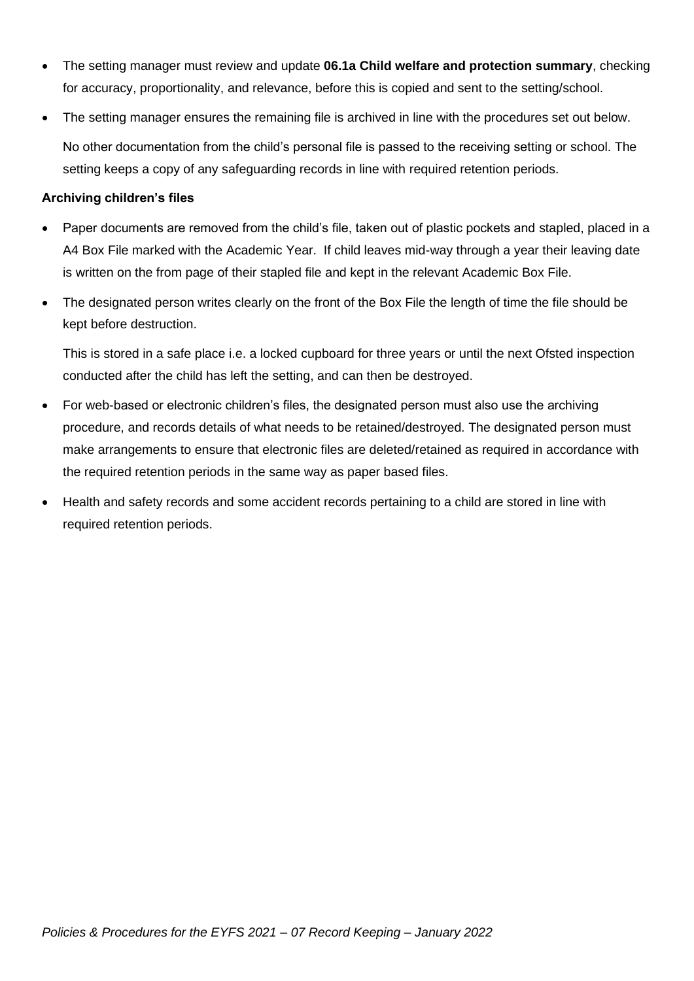- The setting manager must review and update **06.1a Child welfare and protection summary**, checking for accuracy, proportionality, and relevance, before this is copied and sent to the setting/school.
- The setting manager ensures the remaining file is archived in line with the procedures set out below. No other documentation from the child's personal file is passed to the receiving setting or school. The setting keeps a copy of any safeguarding records in line with required retention periods.

#### **Archiving children's files**

- Paper documents are removed from the child's file, taken out of plastic pockets and stapled, placed in a A4 Box File marked with the Academic Year. If child leaves mid-way through a year their leaving date is written on the from page of their stapled file and kept in the relevant Academic Box File.
- The designated person writes clearly on the front of the Box File the length of time the file should be kept before destruction.

This is stored in a safe place i.e. a locked cupboard for three years or until the next Ofsted inspection conducted after the child has left the setting, and can then be destroyed.

- For web-based or electronic children's files, the designated person must also use the archiving procedure, and records details of what needs to be retained/destroyed. The designated person must make arrangements to ensure that electronic files are deleted/retained as required in accordance with the required retention periods in the same way as paper based files.
- Health and safety records and some accident records pertaining to a child are stored in line with required retention periods.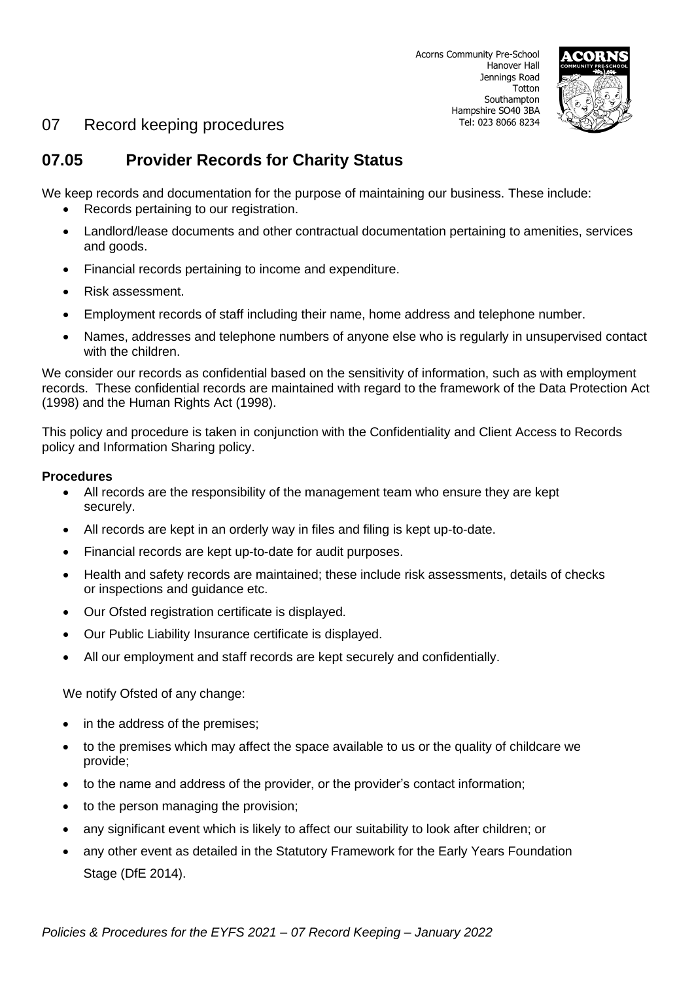

# **07.05 Provider Records for Charity Status**

We keep records and documentation for the purpose of maintaining our business. These include:

- Records pertaining to our registration.
- Landlord/lease documents and other contractual documentation pertaining to amenities, services and goods.
- Financial records pertaining to income and expenditure.
- Risk assessment.
- Employment records of staff including their name, home address and telephone number.
- Names, addresses and telephone numbers of anyone else who is regularly in unsupervised contact with the children.

We consider our records as confidential based on the sensitivity of information, such as with employment records. These confidential records are maintained with regard to the framework of the Data Protection Act (1998) and the Human Rights Act (1998).

This policy and procedure is taken in conjunction with the Confidentiality and Client Access to Records policy and Information Sharing policy.

#### **Procedures**

- All records are the responsibility of the management team who ensure they are kept securely.
- All records are kept in an orderly way in files and filing is kept up-to-date.
- Financial records are kept up-to-date for audit purposes.
- Health and safety records are maintained; these include risk assessments, details of checks or inspections and guidance etc.
- Our Ofsted registration certificate is displayed.
- Our Public Liability Insurance certificate is displayed.
- All our employment and staff records are kept securely and confidentially.

We notify Ofsted of any change:

- in the address of the premises;
- to the premises which may affect the space available to us or the quality of childcare we provide;
- to the name and address of the provider, or the provider's contact information;
- to the person managing the provision;
- any significant event which is likely to affect our suitability to look after children; or
- any other event as detailed in the Statutory Framework for the Early Years Foundation Stage (DfE 2014).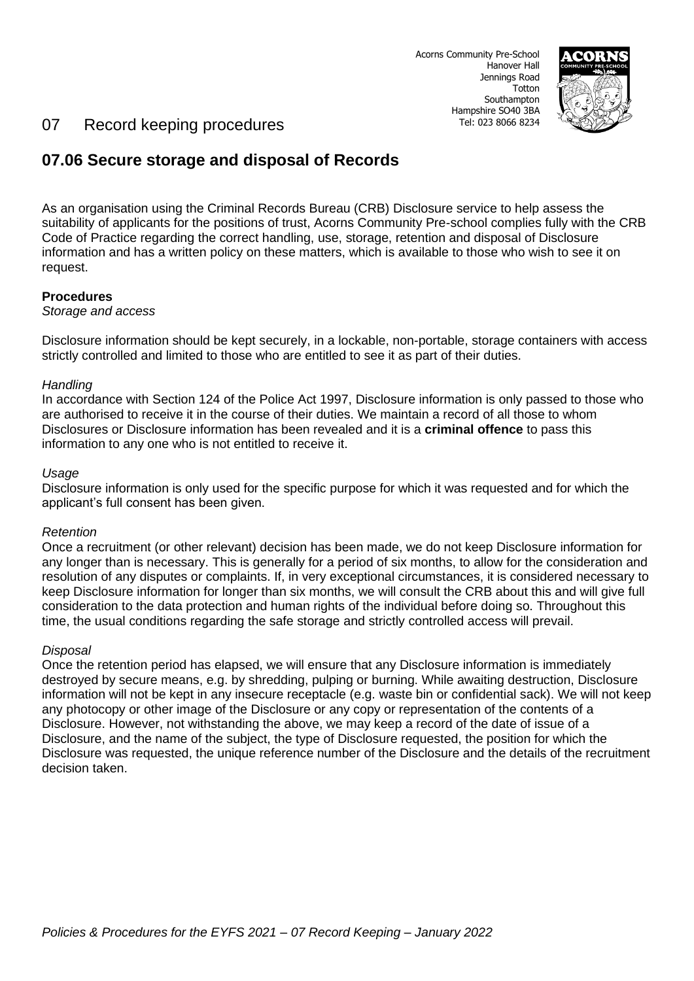

# **07.06 Secure storage and disposal of Records**

As an organisation using the Criminal Records Bureau (CRB) Disclosure service to help assess the suitability of applicants for the positions of trust, Acorns Community Pre-school complies fully with the CRB Code of Practice regarding the correct handling, use, storage, retention and disposal of Disclosure information and has a written policy on these matters, which is available to those who wish to see it on request.

#### **Procedures**

#### *Storage and access*

Disclosure information should be kept securely, in a lockable, non-portable, storage containers with access strictly controlled and limited to those who are entitled to see it as part of their duties.

#### *Handling*

In accordance with Section 124 of the Police Act 1997, Disclosure information is only passed to those who are authorised to receive it in the course of their duties. We maintain a record of all those to whom Disclosures or Disclosure information has been revealed and it is a **criminal offence** to pass this information to any one who is not entitled to receive it.

#### *Usage*

Disclosure information is only used for the specific purpose for which it was requested and for which the applicant's full consent has been given.

#### *Retention*

Once a recruitment (or other relevant) decision has been made, we do not keep Disclosure information for any longer than is necessary. This is generally for a period of six months, to allow for the consideration and resolution of any disputes or complaints. If, in very exceptional circumstances, it is considered necessary to keep Disclosure information for longer than six months, we will consult the CRB about this and will give full consideration to the data protection and human rights of the individual before doing so. Throughout this time, the usual conditions regarding the safe storage and strictly controlled access will prevail.

#### *Disposal*

Once the retention period has elapsed, we will ensure that any Disclosure information is immediately destroyed by secure means, e.g. by shredding, pulping or burning. While awaiting destruction, Disclosure information will not be kept in any insecure receptacle (e.g. waste bin or confidential sack). We will not keep any photocopy or other image of the Disclosure or any copy or representation of the contents of a Disclosure. However, not withstanding the above, we may keep a record of the date of issue of a Disclosure, and the name of the subject, the type of Disclosure requested, the position for which the Disclosure was requested, the unique reference number of the Disclosure and the details of the recruitment decision taken.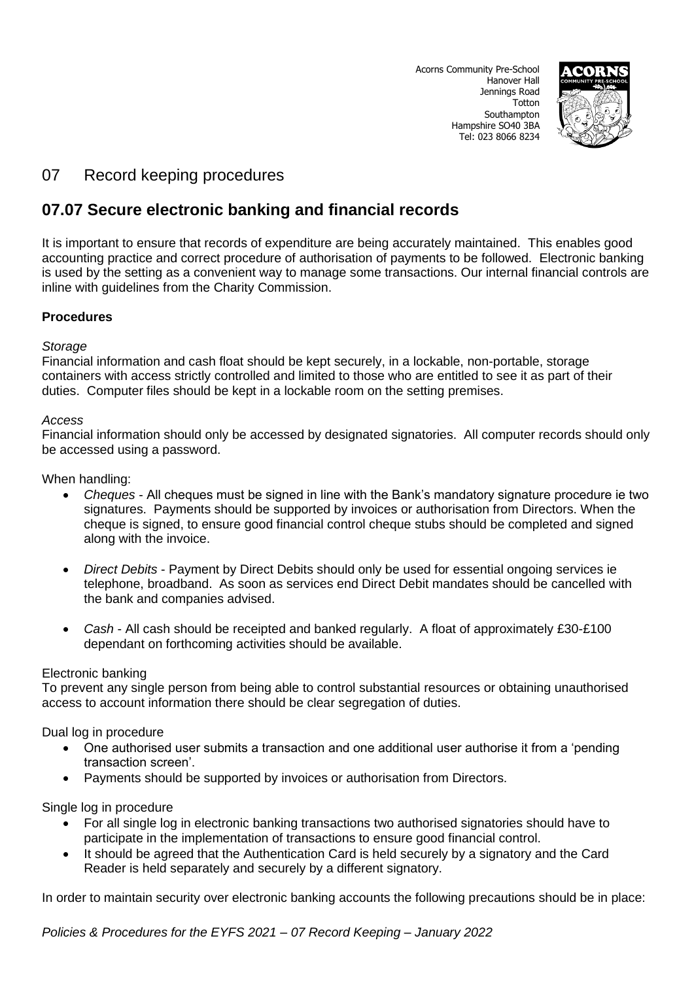Acorns Community Pre-School Hanover Hall Jennings Road Totton Southampton Hampshire SO40 3BA Tel: 023 8066 8234



# 07 Record keeping procedures

# **07.07 Secure electronic banking and financial records**

It is important to ensure that records of expenditure are being accurately maintained. This enables good accounting practice and correct procedure of authorisation of payments to be followed. Electronic banking is used by the setting as a convenient way to manage some transactions. Our internal financial controls are inline with guidelines from the Charity Commission.

## **Procedures**

#### *Storage*

Financial information and cash float should be kept securely, in a lockable, non-portable, storage containers with access strictly controlled and limited to those who are entitled to see it as part of their duties. Computer files should be kept in a lockable room on the setting premises.

#### *Access*

Financial information should only be accessed by designated signatories. All computer records should only be accessed using a password.

When handling:

- *Cheques* All cheques must be signed in line with the Bank's mandatory signature procedure ie two signatures. Payments should be supported by invoices or authorisation from Directors. When the cheque is signed, to ensure good financial control cheque stubs should be completed and signed along with the invoice.
- *Direct Debits* Payment by Direct Debits should only be used for essential ongoing services ie telephone, broadband. As soon as services end Direct Debit mandates should be cancelled with the bank and companies advised.
- *Cash* All cash should be receipted and banked regularly. A float of approximately £30-£100 dependant on forthcoming activities should be available.

#### Electronic banking

To prevent any single person from being able to control substantial resources or obtaining unauthorised access to account information there should be clear segregation of duties.

Dual log in procedure

- One authorised user submits a transaction and one additional user authorise it from a 'pending transaction screen'.
- Payments should be supported by invoices or authorisation from Directors.

#### Single log in procedure

- For all single log in electronic banking transactions two authorised signatories should have to participate in the implementation of transactions to ensure good financial control.
- It should be agreed that the Authentication Card is held securely by a signatory and the Card Reader is held separately and securely by a different signatory.

In order to maintain security over electronic banking accounts the following precautions should be in place:

*Policies & Procedures for the EYFS 2021 – 07 Record Keeping – January 2022*